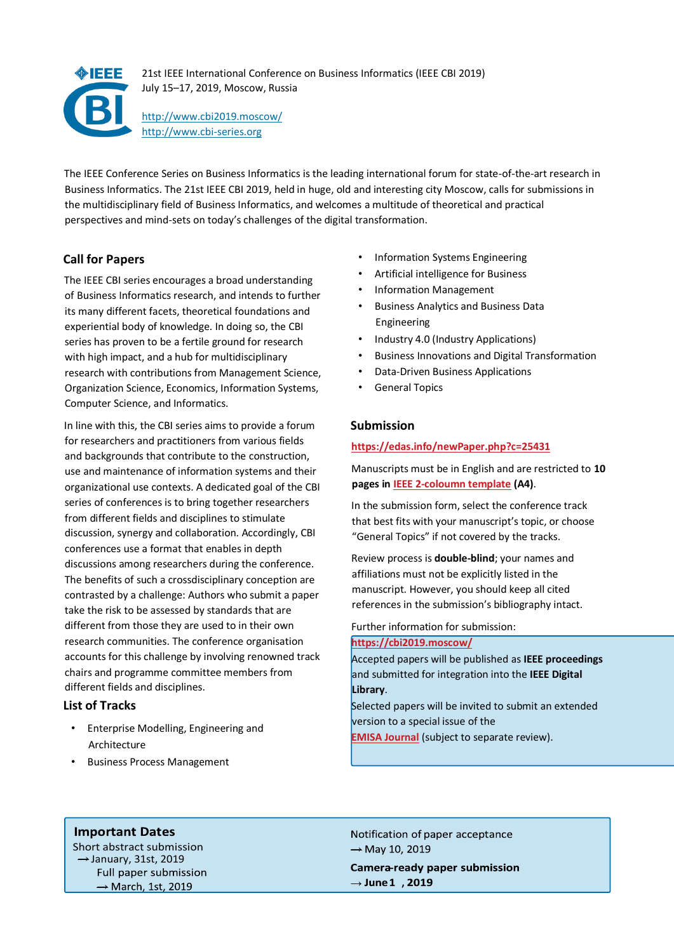

The IEEE Conference Series on Business Informatics is the leading international forum for state-of-the-art research in Business Informatics. The 21st IEEE CBI 2019, held in huge, old and interesting city Moscow, calls for submissions in the multidisciplinary field of Business Informatics, and welcomes a multitude of theoretical and practical perspectives and mind-sets on today's challenges of the digital transformation.

# **Call for Papers**

The IEEE CBI series encourages a broad understanding of Business Informatics research, and intends to further its many different facets, theoretical foundations and experiential body of knowledge. In doing so, the CBI series has proven to be a fertile ground for research with high impact, and a hub for multidisciplinary research with contributions from Management Science, Organization Science, Economics, Information Systems, Computer Science, and Informatics.

In line with this, the CBI series aims to provide a forum for researchers and practitioners from various fields and backgrounds that contribute to the construction, use and maintenance of information systems and their organizational use contexts. A dedicated goal of the CBI series of conferences is to bring together researchers from different fields and disciplines to stimulate discussion, synergy and collaboration. Accordingly, CBI conferences use a format that enables in depth discussions among researchers during the conference. The benefits of such a crossdisciplinary conception are contrasted by a challenge: Authors who submit a paper take the risk to be assessed by standards that are different from those they are used to in their own research communities. The conference organisation accounts for this challenge by involving renowned track chairs and programme committee members from different fields and disciplines.

# **List of Tracks**

- Enterprise Modelling, Engineering and Architecture
- Business Process Management
- Information Systems Engineering
- Artificial intelligence for Business
- Information Management
- Business Analytics and Business Data Engineering
- Industry 4.0 (Industry Applications)
- Business Innovations and Digital Transformation
- Data-Driven Business Applications
- General Topics

### **Submission**

#### **https://edas.info/newPaper.php?c=25431**

Manuscripts must be in English and are restricted to **10 pages i[n IEEE 2-](http://ieeeauthorcenter.ieee.org/create-your-ieee-article/use-authoring-tools-and-ieee-article-templates/ieee-article-templates/templates-for-computer-society-journals/)[coloumn template](http://www.ieee.org/conferences_events/conferences/publishing/templates.html) (A4)**.

In the submission form, select the conference track that best fits with your manuscript's topic, or choose "General Topics" if not covered by the tracks.

Review process is **double-blind**; your names and affiliations must not be explicitly listed in the manuscript. However, you should keep all cited references in the submission's bibliography intact.

Further information for submission:

#### **[https://cbi2019.moscow/](https://cbi2018.big.tuwien.ac.at/submission/)**

Accepted papers will be published as **IEEE proceedings** and submitted for integration into the **IEEE Digital Library**.

Selected papers will be invited to submit an extended version to a special issue of the **[EMISA](https://emisa-journal.org/) [Journal](https://emisa-journal.org/)** [\(](https://emisa-journal.org/)subject to separate review).

# **Important Dates**

Short abstract submission  $\rightarrow$  January, 31st, 2019 Full paper submission  $\rightarrow$  March, 1st, 2019

Notification of paper acceptance  $\rightarrow$  May 10, 2019

**Camera-ready paper submission** → June1, 2019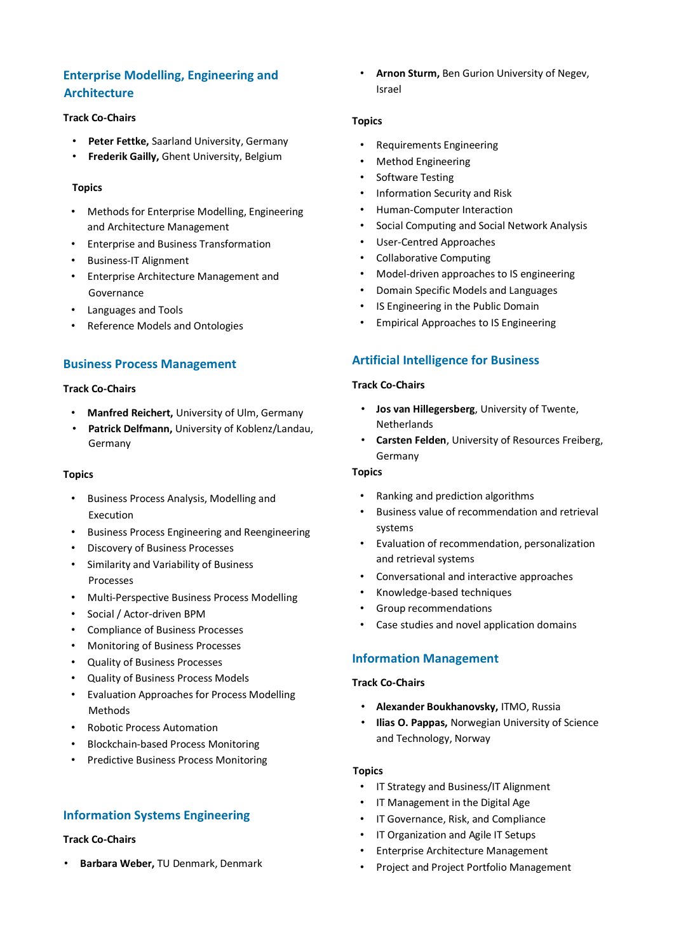# **Enterprise Modelling, Engineering and Architecture**

#### **Track Co-Chairs**

- **Peter Fettke,** Saarland University, Germany
- **Frederik Gailly,** Ghent University, Belgium

#### **Topics**

- Methods for Enterprise Modelling, Engineering and Architecture Management
- Enterprise and Business Transformation
- Business-IT Alignment
- Enterprise Architecture Management and Governance
- Languages and Tools
- Reference Models and Ontologies

### **Business Process Management**

#### **Track Co-Chairs**

- **Manfred Reichert,** University of Ulm, Germany
- **Patrick Delfmann,** University of Koblenz/Landau, Germany

#### **Topics**

- Business Process Analysis, Modelling and Execution
- Business Process Engineering and Reengineering
- Discovery of Business Processes
- Similarity and Variability of Business Processes
- Multi-Perspective Business Process Modelling
- Social / Actor-driven BPM
- Compliance of Business Processes
- Monitoring of Business Processes
- Quality of Business Processes
- Quality of Business Process Models
- Evaluation Approaches for Process Modelling Methods
- Robotic Process Automation
- Blockchain-based Process Monitoring
- Predictive Business Process Monitoring

# **Information Systems Engineering**

#### **Track Co-Chairs**

• **Barbara Weber,** TU Denmark, Denmark

• **Arnon Sturm,** Ben Gurion University of Negev, Israel

#### **Topics**

- Requirements Engineering
- Method Engineering
- Software Testing
- Information Security and Risk
- Human-Computer Interaction
- Social Computing and Social Network Analysis
- User-Centred Approaches
- Collaborative Computing
- Model-driven approaches to IS engineering
- Domain Specific Models and Languages
- IS Engineering in the Public Domain
- Empirical Approaches to IS Engineering

# **Artificial Intelligence for Business**

#### **Track Co-Chairs**

- **Jos van Hillegersberg**, University of Twente, Netherlands
- **Carsten Felden**, University of Resources Freiberg, Germany

#### **Topics**

- Ranking and prediction algorithms
- Business value of recommendation and retrieval systems
- Evaluation of recommendation, personalization and retrieval systems
- Conversational and interactive approaches
- Knowledge-based techniques
- Group recommendations
- Case studies and novel application domains

# **Information Management**

#### **Track Co-Chairs**

- **Alexander Boukhanovsky,** ITMO, Russia
- **Ilias O. Pappas,** Norwegian University of Science and Technology, Norway

#### **Topics**

- IT Strategy and Business/IT Alignment
- IT Management in the Digital Age
- IT Governance, Risk, and Compliance
- IT Organization and Agile IT Setups
- Enterprise Architecture Management
- Project and Project Portfolio Management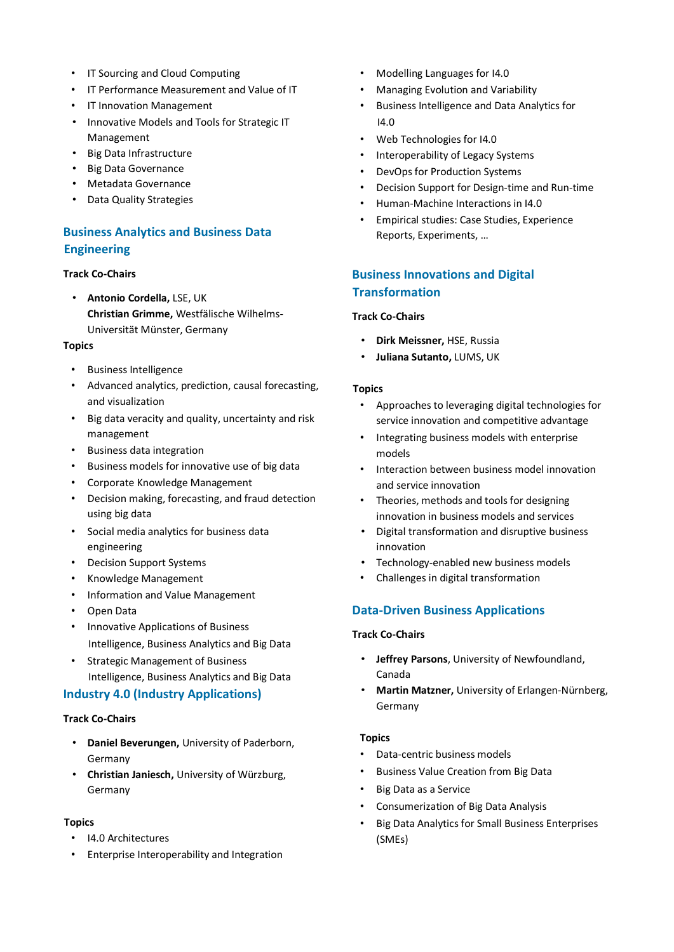- IT Sourcing and Cloud Computing
- IT Performance Measurement and Value of IT
- IT Innovation Management
- Innovative Models and Tools for Strategic IT Management
- Big Data Infrastructure
- Big Data Governance
- Metadata Governance
- Data Quality Strategies

# **Business Analytics and Business Data Engineering**

#### **Track Co-Chairs**

• **Antonio Cordella,** LSE, UK **Christian Grimme,** Westfälische Wilhelms-Universität Münster, Germany

#### **Topics**

- Business Intelligence
- Advanced analytics, prediction, causal forecasting, and visualization
- Big data veracity and quality, uncertainty and risk management
- Business data integration
- Business models for innovative use of big data
- Corporate Knowledge Management
- Decision making, forecasting, and fraud detection using big data
- Social media analytics for business data engineering
- Decision Support Systems
- Knowledge Management
- Information and Value Management
- Open Data
- Innovative Applications of Business Intelligence, Business Analytics and Big Data
- Strategic Management of Business Intelligence, Business Analytics and Big Data

# **Industry 4.0 (Industry Applications)**

### **Track Co-Chairs**

- **Daniel Beverungen,** University of Paderborn, Germany
- **Christian Janiesch,** University of Würzburg, Germany

#### **Topics**

- I4.0 Architectures
- Enterprise Interoperability and Integration
- Modelling Languages for I4.0
- Managing Evolution and Variability
- Business Intelligence and Data Analytics for I4.0
- Web Technologies for I4.0
- Interoperability of Legacy Systems
- DevOps for Production Systems
- Decision Support for Design-time and Run-time
- Human-Machine Interactions in I4.0
- Empirical studies: Case Studies, Experience Reports, Experiments, …

# **Business Innovations and Digital Transformation**

### **Track Co-Chairs**

- **Dirk Meissner,** HSE, Russia
- **Juliana Sutanto,** LUMS, UK

#### **Topics**

- Approaches to leveraging digital technologies for service innovation and competitive advantage
- Integrating business models with enterprise models
- Interaction between business model innovation and service innovation
- Theories, methods and tools for designing innovation in business models and services
- Digital transformation and disruptive business innovation
- Technology-enabled new business models
- Challenges in digital transformation

# **Data-Driven Business Applications**

#### **Track Co-Chairs**

- **Jeffrey Parsons**, University of Newfoundland, Canada
- **Martin Matzner,** University of Erlangen-Nürnberg, Germany

#### **Topics**

- Data-centric business models
- Business Value Creation from Big Data
- Big Data as a Service
- Consumerization of Big Data Analysis
- Big Data Analytics for Small Business Enterprises (SMEs)